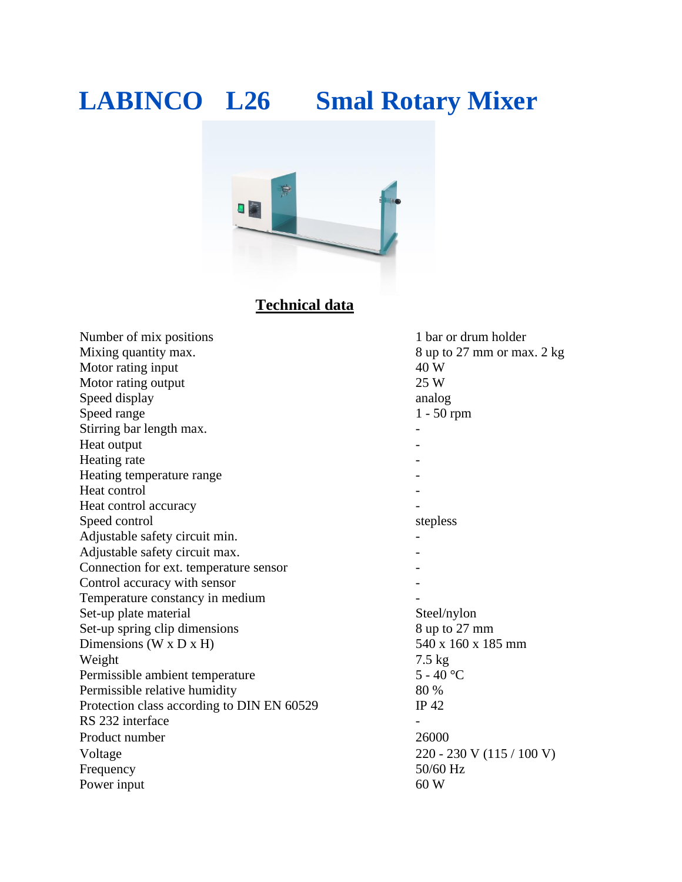# **LABINCO L26 Smal Rotary Mixer**



### **Technical data**

| Number of mix positions                    | 1 bar or drum holder        |  |
|--------------------------------------------|-----------------------------|--|
| Mixing quantity max.                       | 8 up to 27 mm or max. 2 kg  |  |
| Motor rating input                         | 40 W                        |  |
| Motor rating output                        | 25 W                        |  |
| Speed display                              | analog                      |  |
| Speed range                                | $1 - 50$ rpm                |  |
| Stirring bar length max.                   |                             |  |
| Heat output                                |                             |  |
| Heating rate                               |                             |  |
| Heating temperature range                  |                             |  |
| Heat control                               |                             |  |
| Heat control accuracy                      |                             |  |
| Speed control                              | stepless                    |  |
| Adjustable safety circuit min.             |                             |  |
| Adjustable safety circuit max.             |                             |  |
| Connection for ext. temperature sensor     |                             |  |
| Control accuracy with sensor               |                             |  |
| Temperature constancy in medium            |                             |  |
| Set-up plate material                      | Steel/nylon                 |  |
| Set-up spring clip dimensions              | 8 up to 27 mm               |  |
| Dimensions ( $W \times D \times H$ )       | 540 x 160 x 185 mm          |  |
| Weight                                     | $7.5 \text{ kg}$            |  |
| Permissible ambient temperature            | $5 - 40$ °C                 |  |
| Permissible relative humidity              | 80 %                        |  |
| Protection class according to DIN EN 60529 | $IP$ 42                     |  |
| RS 232 interface                           |                             |  |
| Product number                             | 26000                       |  |
| Voltage                                    | $220 - 230$ V (115 / 100 V) |  |
| Frequency                                  | 50/60 Hz                    |  |
| Power input                                | 60 W                        |  |